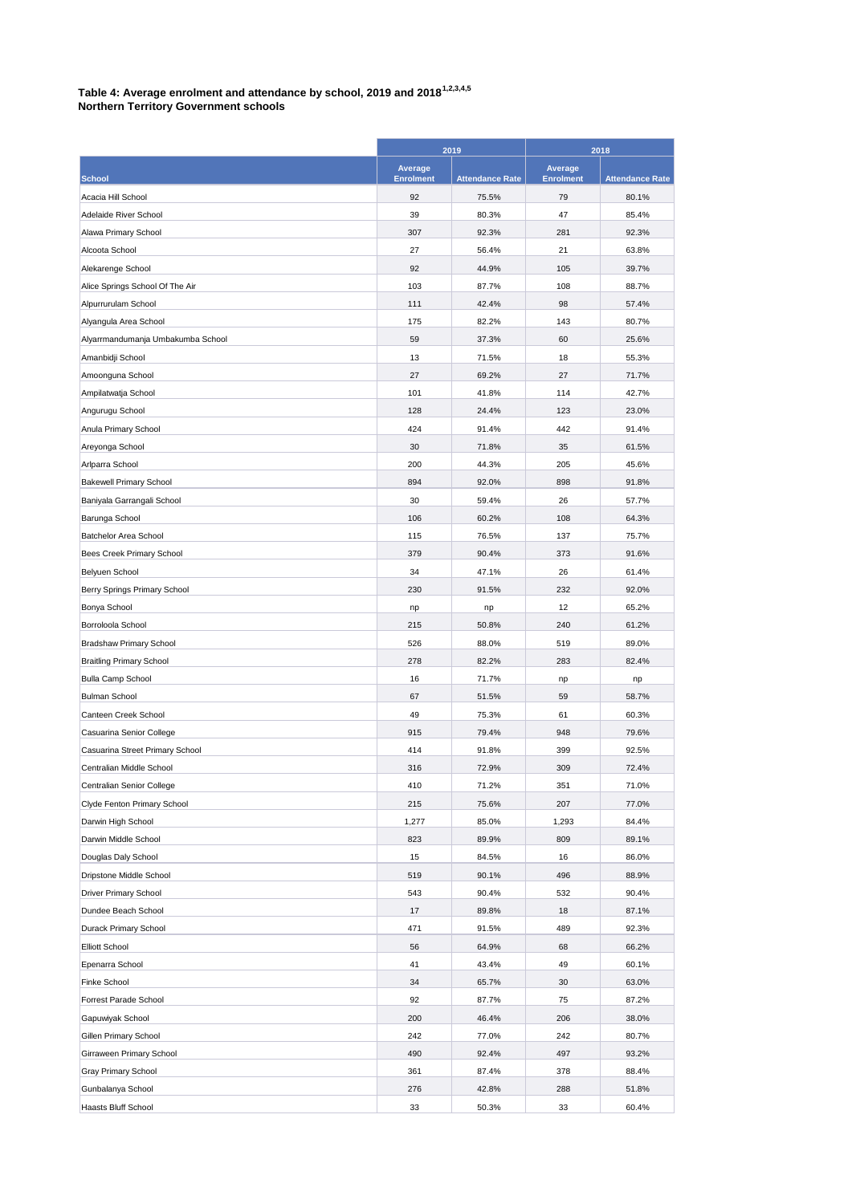## **Table 4: Average enrolment and attendance by school, 2019 and 20181,2,3,4,5**

**Northern Territory Government schools**

| Average<br>Average<br><b>Enrolment</b><br><b>Enrolment</b><br><b>School</b><br><b>Attendance Rate</b><br><b>Attendance Rate</b><br>Acacia Hill School<br>92<br>75.5%<br>79<br>80.1%<br>47<br>Adelaide River School<br>39<br>80.3%<br>85.4%<br>Alawa Primary School<br>307<br>92.3%<br>281<br>92.3%<br>Alcoota School<br>27<br>56.4%<br>21<br>63.8%<br>92<br>44.9%<br>105<br>39.7%<br>Alekarenge School<br>103<br>108<br>Alice Springs School Of The Air<br>87.7%<br>88.7%<br>Alpurrurulam School<br>111<br>42.4%<br>98<br>57.4%<br>Alyangula Area School<br>175<br>82.2%<br>143<br>80.7%<br>Alyarrmandumanja Umbakumba School<br>59<br>37.3%<br>60<br>25.6%<br>Amanbidji School<br>13<br>71.5%<br>18<br>55.3%<br>27<br>27<br>Amoonguna School<br>69.2%<br>71.7%<br>101<br>114<br>42.7%<br>Ampilatwatja School<br>41.8%<br>Angurugu School<br>128<br>24.4%<br>123<br>23.0%<br>Anula Primary School<br>424<br>91.4%<br>442<br>91.4%<br>35<br>Areyonga School<br>30<br>71.8%<br>61.5%<br>Arlparra School<br>200<br>205<br>45.6%<br>44.3%<br>894<br>898<br><b>Bakewell Primary School</b><br>92.0%<br>91.8%<br>26<br>Baniyala Garrangali School<br>30<br>59.4%<br>57.7%<br>Barunga School<br>106<br>60.2%<br>108<br>64.3%<br>Batchelor Area School<br>115<br>76.5%<br>137<br>75.7%<br>379<br>373<br>91.6%<br>Bees Creek Primary School<br>90.4%<br>Belyuen School<br>34<br>47.1%<br>26<br>61.4%<br>230<br>232<br>92.0%<br>Berry Springs Primary School<br>91.5%<br>12<br>Bonya School<br>65.2%<br>np<br>np<br>Borroloola School<br>215<br>50.8%<br>240<br>61.2%<br><b>Bradshaw Primary School</b><br>526<br>88.0%<br>519<br>89.0%<br>278<br>283<br>82.4%<br><b>Braitling Primary School</b><br>82.2%<br><b>Bulla Camp School</b><br>16<br>71.7%<br>np<br>np<br><b>Bulman School</b><br>67<br>51.5%<br>59<br>58.7%<br>Canteen Creek School<br>49<br>75.3%<br>61<br>60.3%<br>Casuarina Senior College<br>915<br>79.4%<br>948<br>79.6%<br>Casuarina Street Primary School<br>414<br>91.8%<br>399<br>92.5%<br>309<br>72.4%<br>Centralian Middle School<br>316<br>72.9%<br>410<br>71.2%<br>351<br>71.0%<br>Centralian Senior College<br>207<br>77.0%<br>Clyde Fenton Primary School<br>215<br>75.6%<br>84.4%<br>Darwin High School<br>1,277<br>85.0%<br>1,293<br>809<br>Darwin Middle School<br>823<br>89.9%<br>89.1%<br>Douglas Daly School<br>15<br>84.5%<br>16<br>86.0%<br>Dripstone Middle School<br>519<br>496<br>88.9%<br>90.1%<br><b>Driver Primary School</b><br>543<br>90.4%<br>532<br>90.4%<br>18<br>87.1%<br>Dundee Beach School<br>17<br>89.8%<br>Durack Primary School<br>471<br>489<br>92.3%<br>91.5%<br>68<br>66.2%<br><b>Elliott School</b><br>56<br>64.9%<br>60.1%<br>Epenarra School<br>41<br>43.4%<br>49<br>30<br>63.0%<br>Finke School<br>34<br>65.7%<br>87.2%<br>Forrest Parade School<br>92<br>87.7%<br>75<br>206<br>Gapuwiyak School<br>200<br>46.4%<br>38.0%<br>242<br>80.7%<br>Gillen Primary School<br>242<br>77.0%<br>490<br>497<br>93.2%<br>Girraween Primary School<br>92.4%<br>Gray Primary School<br>361<br>87.4%<br>378<br>88.4%<br>Gunbalanya School<br>288<br>276<br>42.8%<br>51.8% |                     | 2019 |       | 2018 |       |
|--------------------------------------------------------------------------------------------------------------------------------------------------------------------------------------------------------------------------------------------------------------------------------------------------------------------------------------------------------------------------------------------------------------------------------------------------------------------------------------------------------------------------------------------------------------------------------------------------------------------------------------------------------------------------------------------------------------------------------------------------------------------------------------------------------------------------------------------------------------------------------------------------------------------------------------------------------------------------------------------------------------------------------------------------------------------------------------------------------------------------------------------------------------------------------------------------------------------------------------------------------------------------------------------------------------------------------------------------------------------------------------------------------------------------------------------------------------------------------------------------------------------------------------------------------------------------------------------------------------------------------------------------------------------------------------------------------------------------------------------------------------------------------------------------------------------------------------------------------------------------------------------------------------------------------------------------------------------------------------------------------------------------------------------------------------------------------------------------------------------------------------------------------------------------------------------------------------------------------------------------------------------------------------------------------------------------------------------------------------------------------------------------------------------------------------------------------------------------------------------------------------------------------------------------------------------------------------------------------------------------------------------------------------------------------------------------------------------------------------------------------------------------------------------------------------------------------------------------------------------------------------------------------------------------------------------------------------------------------------------------------------------------------------------------------------------------------------------------------------|---------------------|------|-------|------|-------|
|                                                                                                                                                                                                                                                                                                                                                                                                                                                                                                                                                                                                                                                                                                                                                                                                                                                                                                                                                                                                                                                                                                                                                                                                                                                                                                                                                                                                                                                                                                                                                                                                                                                                                                                                                                                                                                                                                                                                                                                                                                                                                                                                                                                                                                                                                                                                                                                                                                                                                                                                                                                                                                                                                                                                                                                                                                                                                                                                                                                                                                                                                                              |                     |      |       |      |       |
|                                                                                                                                                                                                                                                                                                                                                                                                                                                                                                                                                                                                                                                                                                                                                                                                                                                                                                                                                                                                                                                                                                                                                                                                                                                                                                                                                                                                                                                                                                                                                                                                                                                                                                                                                                                                                                                                                                                                                                                                                                                                                                                                                                                                                                                                                                                                                                                                                                                                                                                                                                                                                                                                                                                                                                                                                                                                                                                                                                                                                                                                                                              |                     |      |       |      |       |
|                                                                                                                                                                                                                                                                                                                                                                                                                                                                                                                                                                                                                                                                                                                                                                                                                                                                                                                                                                                                                                                                                                                                                                                                                                                                                                                                                                                                                                                                                                                                                                                                                                                                                                                                                                                                                                                                                                                                                                                                                                                                                                                                                                                                                                                                                                                                                                                                                                                                                                                                                                                                                                                                                                                                                                                                                                                                                                                                                                                                                                                                                                              |                     |      |       |      |       |
|                                                                                                                                                                                                                                                                                                                                                                                                                                                                                                                                                                                                                                                                                                                                                                                                                                                                                                                                                                                                                                                                                                                                                                                                                                                                                                                                                                                                                                                                                                                                                                                                                                                                                                                                                                                                                                                                                                                                                                                                                                                                                                                                                                                                                                                                                                                                                                                                                                                                                                                                                                                                                                                                                                                                                                                                                                                                                                                                                                                                                                                                                                              |                     |      |       |      |       |
|                                                                                                                                                                                                                                                                                                                                                                                                                                                                                                                                                                                                                                                                                                                                                                                                                                                                                                                                                                                                                                                                                                                                                                                                                                                                                                                                                                                                                                                                                                                                                                                                                                                                                                                                                                                                                                                                                                                                                                                                                                                                                                                                                                                                                                                                                                                                                                                                                                                                                                                                                                                                                                                                                                                                                                                                                                                                                                                                                                                                                                                                                                              |                     |      |       |      |       |
|                                                                                                                                                                                                                                                                                                                                                                                                                                                                                                                                                                                                                                                                                                                                                                                                                                                                                                                                                                                                                                                                                                                                                                                                                                                                                                                                                                                                                                                                                                                                                                                                                                                                                                                                                                                                                                                                                                                                                                                                                                                                                                                                                                                                                                                                                                                                                                                                                                                                                                                                                                                                                                                                                                                                                                                                                                                                                                                                                                                                                                                                                                              |                     |      |       |      |       |
|                                                                                                                                                                                                                                                                                                                                                                                                                                                                                                                                                                                                                                                                                                                                                                                                                                                                                                                                                                                                                                                                                                                                                                                                                                                                                                                                                                                                                                                                                                                                                                                                                                                                                                                                                                                                                                                                                                                                                                                                                                                                                                                                                                                                                                                                                                                                                                                                                                                                                                                                                                                                                                                                                                                                                                                                                                                                                                                                                                                                                                                                                                              |                     |      |       |      |       |
|                                                                                                                                                                                                                                                                                                                                                                                                                                                                                                                                                                                                                                                                                                                                                                                                                                                                                                                                                                                                                                                                                                                                                                                                                                                                                                                                                                                                                                                                                                                                                                                                                                                                                                                                                                                                                                                                                                                                                                                                                                                                                                                                                                                                                                                                                                                                                                                                                                                                                                                                                                                                                                                                                                                                                                                                                                                                                                                                                                                                                                                                                                              |                     |      |       |      |       |
|                                                                                                                                                                                                                                                                                                                                                                                                                                                                                                                                                                                                                                                                                                                                                                                                                                                                                                                                                                                                                                                                                                                                                                                                                                                                                                                                                                                                                                                                                                                                                                                                                                                                                                                                                                                                                                                                                                                                                                                                                                                                                                                                                                                                                                                                                                                                                                                                                                                                                                                                                                                                                                                                                                                                                                                                                                                                                                                                                                                                                                                                                                              |                     |      |       |      |       |
|                                                                                                                                                                                                                                                                                                                                                                                                                                                                                                                                                                                                                                                                                                                                                                                                                                                                                                                                                                                                                                                                                                                                                                                                                                                                                                                                                                                                                                                                                                                                                                                                                                                                                                                                                                                                                                                                                                                                                                                                                                                                                                                                                                                                                                                                                                                                                                                                                                                                                                                                                                                                                                                                                                                                                                                                                                                                                                                                                                                                                                                                                                              |                     |      |       |      |       |
|                                                                                                                                                                                                                                                                                                                                                                                                                                                                                                                                                                                                                                                                                                                                                                                                                                                                                                                                                                                                                                                                                                                                                                                                                                                                                                                                                                                                                                                                                                                                                                                                                                                                                                                                                                                                                                                                                                                                                                                                                                                                                                                                                                                                                                                                                                                                                                                                                                                                                                                                                                                                                                                                                                                                                                                                                                                                                                                                                                                                                                                                                                              |                     |      |       |      |       |
|                                                                                                                                                                                                                                                                                                                                                                                                                                                                                                                                                                                                                                                                                                                                                                                                                                                                                                                                                                                                                                                                                                                                                                                                                                                                                                                                                                                                                                                                                                                                                                                                                                                                                                                                                                                                                                                                                                                                                                                                                                                                                                                                                                                                                                                                                                                                                                                                                                                                                                                                                                                                                                                                                                                                                                                                                                                                                                                                                                                                                                                                                                              |                     |      |       |      |       |
|                                                                                                                                                                                                                                                                                                                                                                                                                                                                                                                                                                                                                                                                                                                                                                                                                                                                                                                                                                                                                                                                                                                                                                                                                                                                                                                                                                                                                                                                                                                                                                                                                                                                                                                                                                                                                                                                                                                                                                                                                                                                                                                                                                                                                                                                                                                                                                                                                                                                                                                                                                                                                                                                                                                                                                                                                                                                                                                                                                                                                                                                                                              |                     |      |       |      |       |
|                                                                                                                                                                                                                                                                                                                                                                                                                                                                                                                                                                                                                                                                                                                                                                                                                                                                                                                                                                                                                                                                                                                                                                                                                                                                                                                                                                                                                                                                                                                                                                                                                                                                                                                                                                                                                                                                                                                                                                                                                                                                                                                                                                                                                                                                                                                                                                                                                                                                                                                                                                                                                                                                                                                                                                                                                                                                                                                                                                                                                                                                                                              |                     |      |       |      |       |
|                                                                                                                                                                                                                                                                                                                                                                                                                                                                                                                                                                                                                                                                                                                                                                                                                                                                                                                                                                                                                                                                                                                                                                                                                                                                                                                                                                                                                                                                                                                                                                                                                                                                                                                                                                                                                                                                                                                                                                                                                                                                                                                                                                                                                                                                                                                                                                                                                                                                                                                                                                                                                                                                                                                                                                                                                                                                                                                                                                                                                                                                                                              |                     |      |       |      |       |
|                                                                                                                                                                                                                                                                                                                                                                                                                                                                                                                                                                                                                                                                                                                                                                                                                                                                                                                                                                                                                                                                                                                                                                                                                                                                                                                                                                                                                                                                                                                                                                                                                                                                                                                                                                                                                                                                                                                                                                                                                                                                                                                                                                                                                                                                                                                                                                                                                                                                                                                                                                                                                                                                                                                                                                                                                                                                                                                                                                                                                                                                                                              |                     |      |       |      |       |
|                                                                                                                                                                                                                                                                                                                                                                                                                                                                                                                                                                                                                                                                                                                                                                                                                                                                                                                                                                                                                                                                                                                                                                                                                                                                                                                                                                                                                                                                                                                                                                                                                                                                                                                                                                                                                                                                                                                                                                                                                                                                                                                                                                                                                                                                                                                                                                                                                                                                                                                                                                                                                                                                                                                                                                                                                                                                                                                                                                                                                                                                                                              |                     |      |       |      |       |
|                                                                                                                                                                                                                                                                                                                                                                                                                                                                                                                                                                                                                                                                                                                                                                                                                                                                                                                                                                                                                                                                                                                                                                                                                                                                                                                                                                                                                                                                                                                                                                                                                                                                                                                                                                                                                                                                                                                                                                                                                                                                                                                                                                                                                                                                                                                                                                                                                                                                                                                                                                                                                                                                                                                                                                                                                                                                                                                                                                                                                                                                                                              |                     |      |       |      |       |
|                                                                                                                                                                                                                                                                                                                                                                                                                                                                                                                                                                                                                                                                                                                                                                                                                                                                                                                                                                                                                                                                                                                                                                                                                                                                                                                                                                                                                                                                                                                                                                                                                                                                                                                                                                                                                                                                                                                                                                                                                                                                                                                                                                                                                                                                                                                                                                                                                                                                                                                                                                                                                                                                                                                                                                                                                                                                                                                                                                                                                                                                                                              |                     |      |       |      |       |
|                                                                                                                                                                                                                                                                                                                                                                                                                                                                                                                                                                                                                                                                                                                                                                                                                                                                                                                                                                                                                                                                                                                                                                                                                                                                                                                                                                                                                                                                                                                                                                                                                                                                                                                                                                                                                                                                                                                                                                                                                                                                                                                                                                                                                                                                                                                                                                                                                                                                                                                                                                                                                                                                                                                                                                                                                                                                                                                                                                                                                                                                                                              |                     |      |       |      |       |
|                                                                                                                                                                                                                                                                                                                                                                                                                                                                                                                                                                                                                                                                                                                                                                                                                                                                                                                                                                                                                                                                                                                                                                                                                                                                                                                                                                                                                                                                                                                                                                                                                                                                                                                                                                                                                                                                                                                                                                                                                                                                                                                                                                                                                                                                                                                                                                                                                                                                                                                                                                                                                                                                                                                                                                                                                                                                                                                                                                                                                                                                                                              |                     |      |       |      |       |
|                                                                                                                                                                                                                                                                                                                                                                                                                                                                                                                                                                                                                                                                                                                                                                                                                                                                                                                                                                                                                                                                                                                                                                                                                                                                                                                                                                                                                                                                                                                                                                                                                                                                                                                                                                                                                                                                                                                                                                                                                                                                                                                                                                                                                                                                                                                                                                                                                                                                                                                                                                                                                                                                                                                                                                                                                                                                                                                                                                                                                                                                                                              |                     |      |       |      |       |
|                                                                                                                                                                                                                                                                                                                                                                                                                                                                                                                                                                                                                                                                                                                                                                                                                                                                                                                                                                                                                                                                                                                                                                                                                                                                                                                                                                                                                                                                                                                                                                                                                                                                                                                                                                                                                                                                                                                                                                                                                                                                                                                                                                                                                                                                                                                                                                                                                                                                                                                                                                                                                                                                                                                                                                                                                                                                                                                                                                                                                                                                                                              |                     |      |       |      |       |
|                                                                                                                                                                                                                                                                                                                                                                                                                                                                                                                                                                                                                                                                                                                                                                                                                                                                                                                                                                                                                                                                                                                                                                                                                                                                                                                                                                                                                                                                                                                                                                                                                                                                                                                                                                                                                                                                                                                                                                                                                                                                                                                                                                                                                                                                                                                                                                                                                                                                                                                                                                                                                                                                                                                                                                                                                                                                                                                                                                                                                                                                                                              |                     |      |       |      |       |
|                                                                                                                                                                                                                                                                                                                                                                                                                                                                                                                                                                                                                                                                                                                                                                                                                                                                                                                                                                                                                                                                                                                                                                                                                                                                                                                                                                                                                                                                                                                                                                                                                                                                                                                                                                                                                                                                                                                                                                                                                                                                                                                                                                                                                                                                                                                                                                                                                                                                                                                                                                                                                                                                                                                                                                                                                                                                                                                                                                                                                                                                                                              |                     |      |       |      |       |
|                                                                                                                                                                                                                                                                                                                                                                                                                                                                                                                                                                                                                                                                                                                                                                                                                                                                                                                                                                                                                                                                                                                                                                                                                                                                                                                                                                                                                                                                                                                                                                                                                                                                                                                                                                                                                                                                                                                                                                                                                                                                                                                                                                                                                                                                                                                                                                                                                                                                                                                                                                                                                                                                                                                                                                                                                                                                                                                                                                                                                                                                                                              |                     |      |       |      |       |
|                                                                                                                                                                                                                                                                                                                                                                                                                                                                                                                                                                                                                                                                                                                                                                                                                                                                                                                                                                                                                                                                                                                                                                                                                                                                                                                                                                                                                                                                                                                                                                                                                                                                                                                                                                                                                                                                                                                                                                                                                                                                                                                                                                                                                                                                                                                                                                                                                                                                                                                                                                                                                                                                                                                                                                                                                                                                                                                                                                                                                                                                                                              |                     |      |       |      |       |
|                                                                                                                                                                                                                                                                                                                                                                                                                                                                                                                                                                                                                                                                                                                                                                                                                                                                                                                                                                                                                                                                                                                                                                                                                                                                                                                                                                                                                                                                                                                                                                                                                                                                                                                                                                                                                                                                                                                                                                                                                                                                                                                                                                                                                                                                                                                                                                                                                                                                                                                                                                                                                                                                                                                                                                                                                                                                                                                                                                                                                                                                                                              |                     |      |       |      |       |
|                                                                                                                                                                                                                                                                                                                                                                                                                                                                                                                                                                                                                                                                                                                                                                                                                                                                                                                                                                                                                                                                                                                                                                                                                                                                                                                                                                                                                                                                                                                                                                                                                                                                                                                                                                                                                                                                                                                                                                                                                                                                                                                                                                                                                                                                                                                                                                                                                                                                                                                                                                                                                                                                                                                                                                                                                                                                                                                                                                                                                                                                                                              |                     |      |       |      |       |
|                                                                                                                                                                                                                                                                                                                                                                                                                                                                                                                                                                                                                                                                                                                                                                                                                                                                                                                                                                                                                                                                                                                                                                                                                                                                                                                                                                                                                                                                                                                                                                                                                                                                                                                                                                                                                                                                                                                                                                                                                                                                                                                                                                                                                                                                                                                                                                                                                                                                                                                                                                                                                                                                                                                                                                                                                                                                                                                                                                                                                                                                                                              |                     |      |       |      |       |
|                                                                                                                                                                                                                                                                                                                                                                                                                                                                                                                                                                                                                                                                                                                                                                                                                                                                                                                                                                                                                                                                                                                                                                                                                                                                                                                                                                                                                                                                                                                                                                                                                                                                                                                                                                                                                                                                                                                                                                                                                                                                                                                                                                                                                                                                                                                                                                                                                                                                                                                                                                                                                                                                                                                                                                                                                                                                                                                                                                                                                                                                                                              |                     |      |       |      |       |
|                                                                                                                                                                                                                                                                                                                                                                                                                                                                                                                                                                                                                                                                                                                                                                                                                                                                                                                                                                                                                                                                                                                                                                                                                                                                                                                                                                                                                                                                                                                                                                                                                                                                                                                                                                                                                                                                                                                                                                                                                                                                                                                                                                                                                                                                                                                                                                                                                                                                                                                                                                                                                                                                                                                                                                                                                                                                                                                                                                                                                                                                                                              |                     |      |       |      |       |
|                                                                                                                                                                                                                                                                                                                                                                                                                                                                                                                                                                                                                                                                                                                                                                                                                                                                                                                                                                                                                                                                                                                                                                                                                                                                                                                                                                                                                                                                                                                                                                                                                                                                                                                                                                                                                                                                                                                                                                                                                                                                                                                                                                                                                                                                                                                                                                                                                                                                                                                                                                                                                                                                                                                                                                                                                                                                                                                                                                                                                                                                                                              |                     |      |       |      |       |
|                                                                                                                                                                                                                                                                                                                                                                                                                                                                                                                                                                                                                                                                                                                                                                                                                                                                                                                                                                                                                                                                                                                                                                                                                                                                                                                                                                                                                                                                                                                                                                                                                                                                                                                                                                                                                                                                                                                                                                                                                                                                                                                                                                                                                                                                                                                                                                                                                                                                                                                                                                                                                                                                                                                                                                                                                                                                                                                                                                                                                                                                                                              |                     |      |       |      |       |
|                                                                                                                                                                                                                                                                                                                                                                                                                                                                                                                                                                                                                                                                                                                                                                                                                                                                                                                                                                                                                                                                                                                                                                                                                                                                                                                                                                                                                                                                                                                                                                                                                                                                                                                                                                                                                                                                                                                                                                                                                                                                                                                                                                                                                                                                                                                                                                                                                                                                                                                                                                                                                                                                                                                                                                                                                                                                                                                                                                                                                                                                                                              |                     |      |       |      |       |
|                                                                                                                                                                                                                                                                                                                                                                                                                                                                                                                                                                                                                                                                                                                                                                                                                                                                                                                                                                                                                                                                                                                                                                                                                                                                                                                                                                                                                                                                                                                                                                                                                                                                                                                                                                                                                                                                                                                                                                                                                                                                                                                                                                                                                                                                                                                                                                                                                                                                                                                                                                                                                                                                                                                                                                                                                                                                                                                                                                                                                                                                                                              |                     |      |       |      |       |
|                                                                                                                                                                                                                                                                                                                                                                                                                                                                                                                                                                                                                                                                                                                                                                                                                                                                                                                                                                                                                                                                                                                                                                                                                                                                                                                                                                                                                                                                                                                                                                                                                                                                                                                                                                                                                                                                                                                                                                                                                                                                                                                                                                                                                                                                                                                                                                                                                                                                                                                                                                                                                                                                                                                                                                                                                                                                                                                                                                                                                                                                                                              |                     |      |       |      |       |
|                                                                                                                                                                                                                                                                                                                                                                                                                                                                                                                                                                                                                                                                                                                                                                                                                                                                                                                                                                                                                                                                                                                                                                                                                                                                                                                                                                                                                                                                                                                                                                                                                                                                                                                                                                                                                                                                                                                                                                                                                                                                                                                                                                                                                                                                                                                                                                                                                                                                                                                                                                                                                                                                                                                                                                                                                                                                                                                                                                                                                                                                                                              |                     |      |       |      |       |
|                                                                                                                                                                                                                                                                                                                                                                                                                                                                                                                                                                                                                                                                                                                                                                                                                                                                                                                                                                                                                                                                                                                                                                                                                                                                                                                                                                                                                                                                                                                                                                                                                                                                                                                                                                                                                                                                                                                                                                                                                                                                                                                                                                                                                                                                                                                                                                                                                                                                                                                                                                                                                                                                                                                                                                                                                                                                                                                                                                                                                                                                                                              |                     |      |       |      |       |
|                                                                                                                                                                                                                                                                                                                                                                                                                                                                                                                                                                                                                                                                                                                                                                                                                                                                                                                                                                                                                                                                                                                                                                                                                                                                                                                                                                                                                                                                                                                                                                                                                                                                                                                                                                                                                                                                                                                                                                                                                                                                                                                                                                                                                                                                                                                                                                                                                                                                                                                                                                                                                                                                                                                                                                                                                                                                                                                                                                                                                                                                                                              |                     |      |       |      |       |
|                                                                                                                                                                                                                                                                                                                                                                                                                                                                                                                                                                                                                                                                                                                                                                                                                                                                                                                                                                                                                                                                                                                                                                                                                                                                                                                                                                                                                                                                                                                                                                                                                                                                                                                                                                                                                                                                                                                                                                                                                                                                                                                                                                                                                                                                                                                                                                                                                                                                                                                                                                                                                                                                                                                                                                                                                                                                                                                                                                                                                                                                                                              |                     |      |       |      |       |
|                                                                                                                                                                                                                                                                                                                                                                                                                                                                                                                                                                                                                                                                                                                                                                                                                                                                                                                                                                                                                                                                                                                                                                                                                                                                                                                                                                                                                                                                                                                                                                                                                                                                                                                                                                                                                                                                                                                                                                                                                                                                                                                                                                                                                                                                                                                                                                                                                                                                                                                                                                                                                                                                                                                                                                                                                                                                                                                                                                                                                                                                                                              |                     |      |       |      |       |
|                                                                                                                                                                                                                                                                                                                                                                                                                                                                                                                                                                                                                                                                                                                                                                                                                                                                                                                                                                                                                                                                                                                                                                                                                                                                                                                                                                                                                                                                                                                                                                                                                                                                                                                                                                                                                                                                                                                                                                                                                                                                                                                                                                                                                                                                                                                                                                                                                                                                                                                                                                                                                                                                                                                                                                                                                                                                                                                                                                                                                                                                                                              |                     |      |       |      |       |
|                                                                                                                                                                                                                                                                                                                                                                                                                                                                                                                                                                                                                                                                                                                                                                                                                                                                                                                                                                                                                                                                                                                                                                                                                                                                                                                                                                                                                                                                                                                                                                                                                                                                                                                                                                                                                                                                                                                                                                                                                                                                                                                                                                                                                                                                                                                                                                                                                                                                                                                                                                                                                                                                                                                                                                                                                                                                                                                                                                                                                                                                                                              |                     |      |       |      |       |
|                                                                                                                                                                                                                                                                                                                                                                                                                                                                                                                                                                                                                                                                                                                                                                                                                                                                                                                                                                                                                                                                                                                                                                                                                                                                                                                                                                                                                                                                                                                                                                                                                                                                                                                                                                                                                                                                                                                                                                                                                                                                                                                                                                                                                                                                                                                                                                                                                                                                                                                                                                                                                                                                                                                                                                                                                                                                                                                                                                                                                                                                                                              |                     |      |       |      |       |
|                                                                                                                                                                                                                                                                                                                                                                                                                                                                                                                                                                                                                                                                                                                                                                                                                                                                                                                                                                                                                                                                                                                                                                                                                                                                                                                                                                                                                                                                                                                                                                                                                                                                                                                                                                                                                                                                                                                                                                                                                                                                                                                                                                                                                                                                                                                                                                                                                                                                                                                                                                                                                                                                                                                                                                                                                                                                                                                                                                                                                                                                                                              |                     |      |       |      |       |
|                                                                                                                                                                                                                                                                                                                                                                                                                                                                                                                                                                                                                                                                                                                                                                                                                                                                                                                                                                                                                                                                                                                                                                                                                                                                                                                                                                                                                                                                                                                                                                                                                                                                                                                                                                                                                                                                                                                                                                                                                                                                                                                                                                                                                                                                                                                                                                                                                                                                                                                                                                                                                                                                                                                                                                                                                                                                                                                                                                                                                                                                                                              |                     |      |       |      |       |
|                                                                                                                                                                                                                                                                                                                                                                                                                                                                                                                                                                                                                                                                                                                                                                                                                                                                                                                                                                                                                                                                                                                                                                                                                                                                                                                                                                                                                                                                                                                                                                                                                                                                                                                                                                                                                                                                                                                                                                                                                                                                                                                                                                                                                                                                                                                                                                                                                                                                                                                                                                                                                                                                                                                                                                                                                                                                                                                                                                                                                                                                                                              |                     |      |       |      |       |
|                                                                                                                                                                                                                                                                                                                                                                                                                                                                                                                                                                                                                                                                                                                                                                                                                                                                                                                                                                                                                                                                                                                                                                                                                                                                                                                                                                                                                                                                                                                                                                                                                                                                                                                                                                                                                                                                                                                                                                                                                                                                                                                                                                                                                                                                                                                                                                                                                                                                                                                                                                                                                                                                                                                                                                                                                                                                                                                                                                                                                                                                                                              |                     |      |       |      |       |
|                                                                                                                                                                                                                                                                                                                                                                                                                                                                                                                                                                                                                                                                                                                                                                                                                                                                                                                                                                                                                                                                                                                                                                                                                                                                                                                                                                                                                                                                                                                                                                                                                                                                                                                                                                                                                                                                                                                                                                                                                                                                                                                                                                                                                                                                                                                                                                                                                                                                                                                                                                                                                                                                                                                                                                                                                                                                                                                                                                                                                                                                                                              |                     |      |       |      |       |
|                                                                                                                                                                                                                                                                                                                                                                                                                                                                                                                                                                                                                                                                                                                                                                                                                                                                                                                                                                                                                                                                                                                                                                                                                                                                                                                                                                                                                                                                                                                                                                                                                                                                                                                                                                                                                                                                                                                                                                                                                                                                                                                                                                                                                                                                                                                                                                                                                                                                                                                                                                                                                                                                                                                                                                                                                                                                                                                                                                                                                                                                                                              |                     |      |       |      |       |
|                                                                                                                                                                                                                                                                                                                                                                                                                                                                                                                                                                                                                                                                                                                                                                                                                                                                                                                                                                                                                                                                                                                                                                                                                                                                                                                                                                                                                                                                                                                                                                                                                                                                                                                                                                                                                                                                                                                                                                                                                                                                                                                                                                                                                                                                                                                                                                                                                                                                                                                                                                                                                                                                                                                                                                                                                                                                                                                                                                                                                                                                                                              |                     |      |       |      |       |
|                                                                                                                                                                                                                                                                                                                                                                                                                                                                                                                                                                                                                                                                                                                                                                                                                                                                                                                                                                                                                                                                                                                                                                                                                                                                                                                                                                                                                                                                                                                                                                                                                                                                                                                                                                                                                                                                                                                                                                                                                                                                                                                                                                                                                                                                                                                                                                                                                                                                                                                                                                                                                                                                                                                                                                                                                                                                                                                                                                                                                                                                                                              | Haasts Bluff School | 33   | 50.3% | 33   | 60.4% |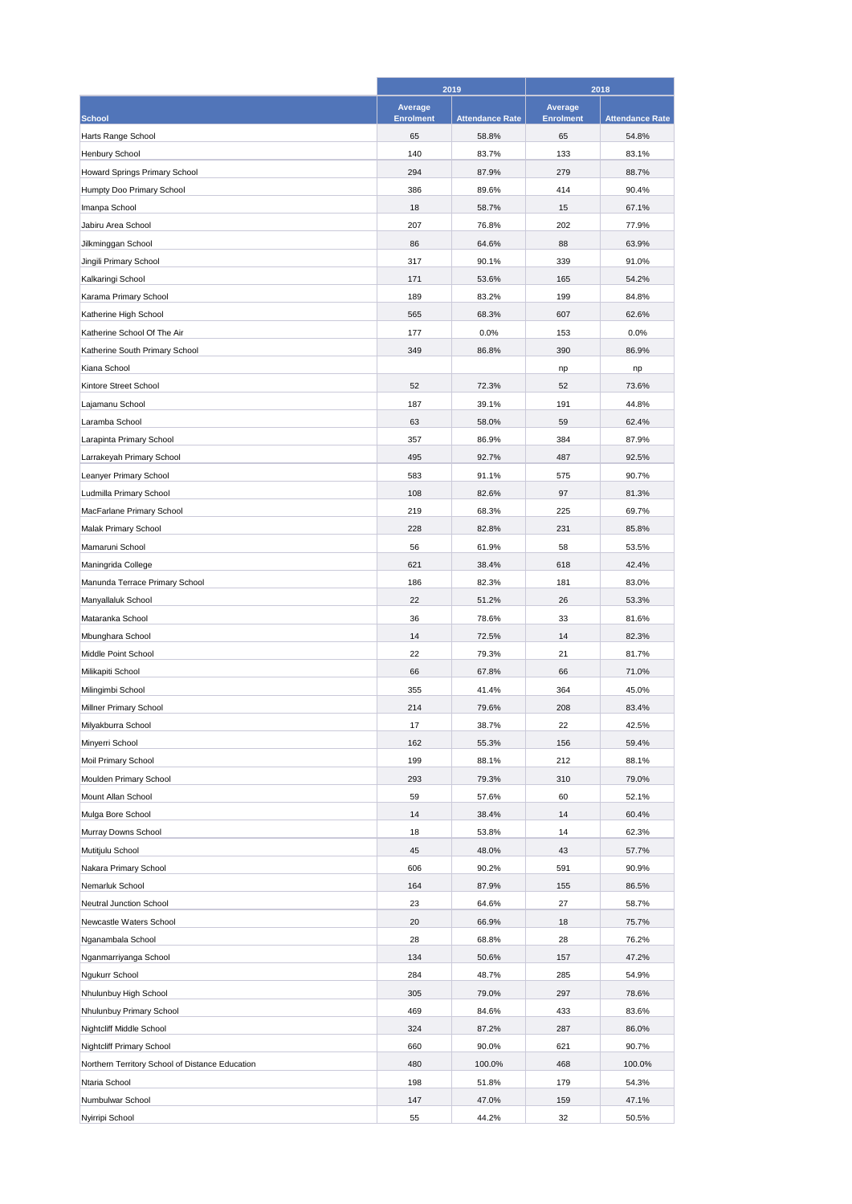|                                                 | 2019                   |                                 | 2018                   |                                 |
|-------------------------------------------------|------------------------|---------------------------------|------------------------|---------------------------------|
|                                                 | Average                |                                 | Average                |                                 |
| <b>School</b><br>Harts Range School             | <b>Enrolment</b><br>65 | <b>Attendance Rate</b><br>58.8% | <b>Enrolment</b><br>65 | <b>Attendance Rate</b><br>54.8% |
| Henbury School                                  | 140                    | 83.7%                           | 133                    | 83.1%                           |
|                                                 |                        |                                 |                        | 88.7%                           |
| Howard Springs Primary School                   | 294                    | 87.9%                           | 279                    |                                 |
| Humpty Doo Primary School                       | 386                    | 89.6%                           | 414                    | 90.4%                           |
| Imanpa School                                   | 18                     | 58.7%                           | 15                     | 67.1%                           |
| Jabiru Area School                              | 207                    | 76.8%                           | 202                    | 77.9%                           |
| Jilkminggan School                              | 86                     | 64.6%                           | 88                     | 63.9%                           |
| Jingili Primary School                          | 317                    | 90.1%                           | 339                    | 91.0%                           |
| Kalkaringi School                               | 171                    | 53.6%                           | 165                    | 54.2%                           |
| Karama Primary School                           | 189                    | 83.2%                           | 199                    | 84.8%                           |
| Katherine High School                           | 565                    | 68.3%                           | 607                    | 62.6%                           |
| Katherine School Of The Air                     | 177                    | 0.0%                            | 153                    | 0.0%                            |
| Katherine South Primary School                  | 349                    | 86.8%                           | 390                    | 86.9%                           |
| Kiana School                                    |                        |                                 | np                     | np                              |
| Kintore Street School                           | 52                     | 72.3%                           | 52                     | 73.6%                           |
| Lajamanu School                                 | 187                    | 39.1%                           | 191                    | 44.8%                           |
| Laramba School                                  | 63                     | 58.0%                           | 59                     | 62.4%                           |
| Larapinta Primary School                        | 357                    | 86.9%                           | 384                    | 87.9%                           |
| Larrakeyah Primary School                       | 495                    | 92.7%                           | 487                    | 92.5%                           |
| Leanyer Primary School                          | 583                    | 91.1%                           | 575                    | 90.7%                           |
| Ludmilla Primary School                         | 108                    | 82.6%                           | 97                     | 81.3%                           |
| MacFarlane Primary School                       | 219                    | 68.3%                           | 225                    | 69.7%                           |
| Malak Primary School                            | 228                    | 82.8%                           | 231                    | 85.8%                           |
| Mamaruni School                                 | 56                     | 61.9%                           | 58                     | 53.5%                           |
| Maningrida College                              | 621                    | 38.4%                           | 618                    | 42.4%                           |
| Manunda Terrace Primary School                  | 186                    | 82.3%                           | 181                    | 83.0%                           |
| Manyallaluk School                              | 22                     | 51.2%                           | 26                     | 53.3%                           |
| Mataranka School                                | 36                     | 78.6%                           | 33                     | 81.6%                           |
| Mbunghara School                                | 14                     | 72.5%                           | 14                     | 82.3%                           |
| Middle Point School                             | 22                     | 79.3%                           | 21                     | 81.7%                           |
| Milikapiti School                               | 66                     | 67.8%                           | 66                     | 71.0%                           |
| Milingimbi School                               | 355                    | 41.4%                           | 364                    | 45.0%                           |
| Millner Primary School                          | 214                    | 79.6%                           | 208                    | 83.4%                           |
| Milyakburra School                              | 17                     | 38.7%                           | 22                     | 42.5%                           |
| Minyerri School                                 | 162                    | 55.3%                           | 156                    | 59.4%                           |
| Moil Primary School                             | 199                    | 88.1%                           | 212                    | 88.1%                           |
| Moulden Primary School                          | 293                    | 79.3%                           | 310                    | 79.0%                           |
| Mount Allan School                              | 59                     | 57.6%                           | 60                     | 52.1%                           |
| Mulga Bore School                               | 14                     | 38.4%                           | 14                     | 60.4%                           |
| Murray Downs School                             | 18                     | 53.8%                           | 14                     | 62.3%                           |
| Mutitjulu School                                | 45                     | 48.0%                           | 43                     | 57.7%                           |
| Nakara Primary School                           | 606                    | 90.2%                           | 591                    | 90.9%                           |
| Nemarluk School                                 | 164                    |                                 | 155                    | 86.5%                           |
| Neutral Junction School                         |                        | 87.9%<br>64.6%                  |                        | 58.7%                           |
|                                                 | 23                     |                                 | 27                     |                                 |
| Newcastle Waters School                         | 20                     | 66.9%                           | 18                     | 75.7%                           |
| Nganambala School                               | 28                     | 68.8%                           | 28                     | 76.2%                           |
| Nganmarriyanga School                           | 134                    | 50.6%                           | 157                    | 47.2%                           |
| Ngukurr School                                  | 284                    | 48.7%                           | 285                    | 54.9%                           |
| Nhulunbuy High School                           | 305                    | 79.0%                           | 297                    | 78.6%                           |
| Nhulunbuy Primary School                        | 469                    | 84.6%                           | 433                    | 83.6%                           |
| Nightcliff Middle School                        | 324                    | 87.2%                           | 287                    | 86.0%                           |
| Nightcliff Primary School                       | 660                    | 90.0%                           | 621                    | 90.7%                           |
| Northern Territory School of Distance Education | 480                    | 100.0%                          | 468                    | 100.0%                          |
| Ntaria School                                   | 198                    | 51.8%                           | 179                    | 54.3%                           |
| Numbulwar School                                | 147                    | 47.0%                           | 159                    | 47.1%                           |
| Nyirripi School                                 | 55                     | 44.2%                           | 32                     | 50.5%                           |